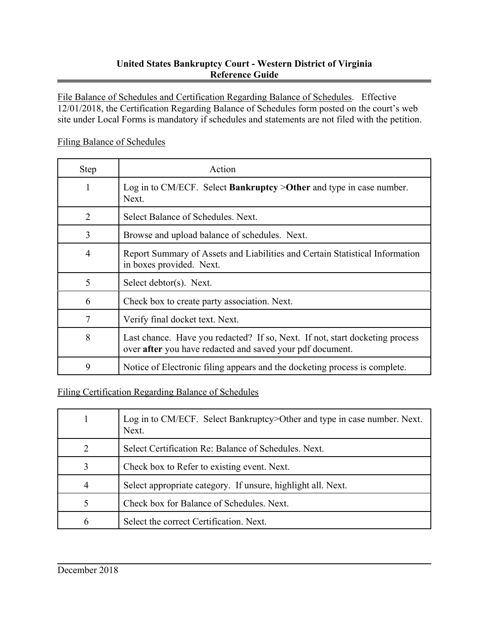## **United States Bankruptcy Court - Western District of Virginia Reference Guide**

File Balance of Schedules and Certification Regarding Balance of Schedules. Effective 12/01/2018, the Certification Regarding Balance of Schedules form posted on the court's web site under Local Forms is mandatory if schedules and statements are not filed with the petition.

## Filing Balance of Schedules

| <b>Step</b> | Action                                                                                                                                    |
|-------------|-------------------------------------------------------------------------------------------------------------------------------------------|
|             | Log in to CM/ECF. Select <b>Bankruptcy</b> > Other and type in case number.<br>Next.                                                      |
| 2           | Select Balance of Schedules. Next.                                                                                                        |
| 3           | Browse and upload balance of schedules. Next.                                                                                             |
| 4           | Report Summary of Assets and Liabilities and Certain Statistical Information<br>in boxes provided. Next.                                  |
| 5           | Select debtor(s). Next.                                                                                                                   |
| 6           | Check box to create party association. Next.                                                                                              |
|             | Verify final docket text. Next.                                                                                                           |
| 8           | Last chance. Have you redacted? If so, Next. If not, start docketing process<br>over after you have redacted and saved your pdf document. |
| 9           | Notice of Electronic filing appears and the docketing process is complete.                                                                |

## Filing Certification Regarding Balance of Schedules

|   | Log in to CM/ECF. Select Bankruptcy>Other and type in case number. Next.<br>Next. |
|---|-----------------------------------------------------------------------------------|
|   | Select Certification Re: Balance of Schedules. Next.                              |
| 3 | Check box to Refer to existing event. Next.                                       |
|   | Select appropriate category. If unsure, highlight all. Next.                      |
|   | Check box for Balance of Schedules. Next.                                         |
| h | Select the correct Certification. Next.                                           |